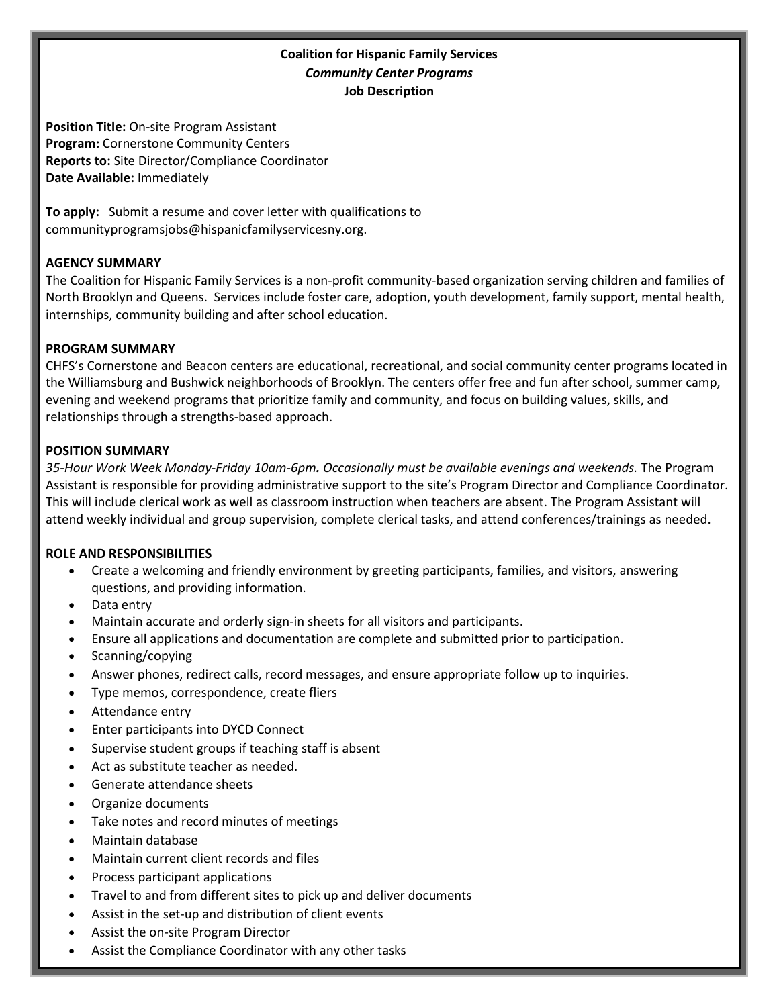# **Coalition for Hispanic Family Services** *Community Center Programs* **Job Description**

**Position Title:** On-site Program Assistant **Program:** Cornerstone Community Centers **Reports to:** Site Director/Compliance Coordinator **Date Available:** Immediately

**To apply:** Submit a resume and cover letter with qualifications to communityprogramsjobs@hispanicfamilyservicesny.org.

## **AGENCY SUMMARY**

The Coalition for Hispanic Family Services is a non-profit community-based organization serving children and families of North Brooklyn and Queens. Services include foster care, adoption, youth development, family support, mental health, internships, community building and after school education.

#### **PROGRAM SUMMARY**

CHFS's Cornerstone and Beacon centers are educational, recreational, and social community center programs located in the Williamsburg and Bushwick neighborhoods of Brooklyn. The centers offer free and fun after school, summer camp, evening and weekend programs that prioritize family and community, and focus on building values, skills, and relationships through a strengths-based approach.

#### **POSITION SUMMARY**

*35-Hour Work Week Monday-Friday 10am-6pm. Occasionally must be available evenings and weekends.* The Program Assistant is responsible for providing administrative support to the site's Program Director and Compliance Coordinator. This will include clerical work as well as classroom instruction when teachers are absent. The Program Assistant will attend weekly individual and group supervision, complete clerical tasks, and attend conferences/trainings as needed.

#### **ROLE AND RESPONSIBILITIES**

- Create a welcoming and friendly environment by greeting participants, families, and visitors, answering questions, and providing information.
- Data entry
- Maintain accurate and orderly sign-in sheets for all visitors and participants.
- Ensure all applications and documentation are complete and submitted prior to participation.
- Scanning/copying
- Answer phones, redirect calls, record messages, and ensure appropriate follow up to inquiries.
- Type memos, correspondence, create fliers
- Attendance entry
- Enter participants into DYCD Connect
- Supervise student groups if teaching staff is absent
- Act as substitute teacher as needed.
- Generate attendance sheets
- Organize documents
- Take notes and record minutes of meetings
- Maintain database
- Maintain current client records and files
- Process participant applications
- Travel to and from different sites to pick up and deliver documents
- Assist in the set-up and distribution of client events
- Assist the on-site Program Director
- Assist the Compliance Coordinator with any other tasks